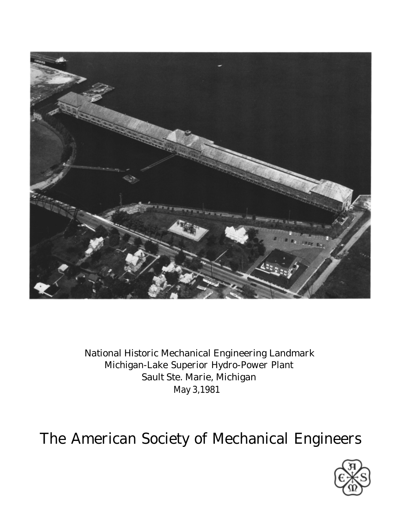

National Historic Mechanical Engineering Landmark Michigan-Lake Superior Hydro-Power Plant Sault Ste. Marie, Michigan May 3,1981

The American Society of Mechanical Engineers

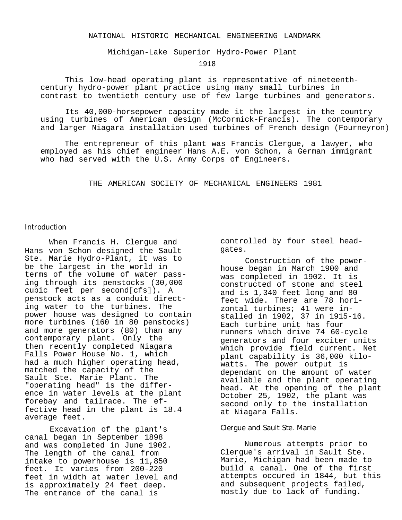## NATIONAL HISTORIC MECHANICAL ENGINEERING LANDMARK

Michigan-Lake Superior Hydro-Power Plant

1918

This low-head operating plant is representative of nineteenthcentury hydro-power plant practice using many small turbines in contrast to twentieth century use of few large turbines and generators.

Its 40,000-horsepower capacity made it the largest in the country using turbines of American design (McCormick-Francis). The contemporary and larger Niagara installation used turbines of French design (Fourneyron)

The entrepreneur of this plant was Francis Clergue, a lawyer, who employed as his chief engineer Hans A.E. von Schon, a German immigrant who had served with the U.S. Army Corps of Engineers.

THE AMERICAN SOCIETY OF MECHANICAL ENGINEERS 1981

## Introduction

When Francis H. Clergue and Hans von Schon designed the Sault Ste. Marie Hydro-Plant, it was to be the largest in the world in terms of the volume of water passing through its penstocks (30,000 cubic feet per second[cfs]). A penstock acts as a conduit directing water to the turbines. The power house was designed to contain more turbines (160 in 80 penstocks) and more generators (80) than any contemporary plant. Only the then recently completed Niagara Falls Power House No. 1, which had a much higher operating head, matched the capacity of the Sault Ste. Marie Plant. The "operating head" is the difference in water levels at the plant forebay and tailrace. The effective head in the plant is 18.4 average feet.

Excavation of the plant's canal began in September 1898 and was completed in June 1902. The length of the canal from intake to powerhouse is 11,850 feet. It varies from 200-220 feet in width at water level and is approximately 24 feet deep. The entrance of the canal is

controlled by four steel headgates.

Construction of the powerhouse began in March 1900 and was completed in 1902. It is constructed of stone and steel and is 1,340 feet long and 80 feet wide. There are 78 horizontal turbines; 41 were installed in 1902, 37 in 1915-16. Each turbine unit has four runners which drive 74 60-cycle generators and four exciter units which provide field current. Net plant capability is 36,000 kilowatts. The power output is dependant on the amount of water available and the plant operating head. At the opening of the plant October 25, 1902, the plant was second only to the installation at Niagara Falls.

### Clergue and Sault Ste. Marie

Numerous attempts prior to Clergue's arrival in Sault Ste. Marie, Michigan had been made to build a canal. One of the first attempts occured in 1844, but this and subsequent projects failed, mostly due to lack of funding.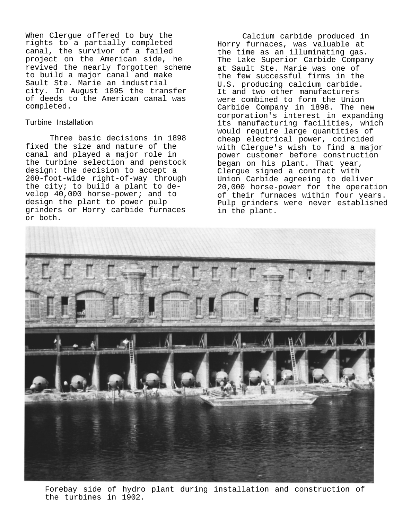When Clergue offered to buy the rights to a partially completed canal, the survivor of a failed project on the American side, he revived the nearly forgotten scheme to build a major canal and make Sault Ste. Marie an industrial city. In August 1895 the transfer of deeds to the American canal was completed.

# Turbine Installation

Three basic decisions in 1898 fixed the size and nature of the canal and played a major role in the turbine selection and penstock design: the decision to accept a 260-foot-wide right-of-way through the city; to build a plant to develop 40,000 horse-power; and to design the plant to power pulp grinders or Horry carbide furnaces or both.

Calcium carbide produced in Horry furnaces, was valuable at the time as an illuminating gas. The Lake Superior Carbide Company at Sault Ste. Marie was one of the few successful firms in the U.S. producing calcium carbide. It and two other manufacturers were combined to form the Union Carbide Company in 1898. The new corporation's interest in expanding its manufacturing facilities, which would require large quantities of cheap electrical power, coincided with Clergue's wish to find a major power customer before construction began on his plant. That year, Clergue signed a contract with Union Carbide agreeing to deliver 20,000 horse-power for the operation of their furnaces within four years. Pulp grinders were never established in the plant.



Forebay side of hydro plant during installation and construction of the turbines in 1902.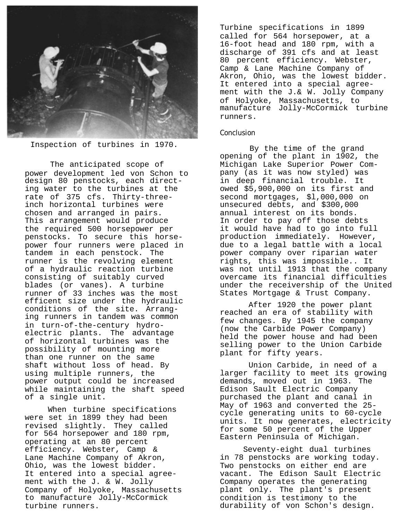

Inspection of turbines in 1970.

The anticipated scope of power development led von Schon to design 80 penstocks, each directing water to the turbines at the rate of 375 cfs. Thirty-threeinch horizontal turbines were chosen and arranged in pairs. This arrangement would produce the required 500 horsepower per penstocks. To secure this horsepower four runners were placed in tandem in each penstock. The runner is the revolving element of a hydraulic reaction turbine consisting of suitably curved blades (or vanes). A turbine runner of 33 inches was the most efficent size under the hydraulic conditions of the site. Arranging runners in tandem was common in turn-of-the-century hydroelectric plants. The advantage of horizontal turbines was the possibility of mounting more than one runner on the same shaft without loss of head. By using multiple runners, the power output could be increased while maintaining the shaft speed of a single unit.

When turbine specifications were set in 1899 they had been revised slightly. They called for 564 horsepower and 180 rpm, operating at an 80 percent efficiency. Webster, Camp & Lane Machine Company of Akron, Ohio, was the lowest bidder. It entered into a special agreement with the J. & W. Jolly Company of Holyoke, Massachusetts to manufacture Jolly-McCormick turbine runners.

Turbine specifications in 1899 called for 564 horsepower, at a 16-foot head and 180 rpm, with a discharge of 391 cfs and at least 80 percent efficiency. Webster, Camp & Lane Machine Company of Akron, Ohio, was the lowest bidder. It entered into a special agreement with the J.& W. Jolly Company of Holyoke, Massachusetts, to manufacture Jolly-McCormick turbine runners.

## Conclusion

By the time of the grand opening of the plant in 1902, the Michigan Lake Superior Power Company (as it was now styled) was in deep financial trouble. It owed \$5,900,000 on its first and second mortgages, \$l,000,000 on unsecured debts, and \$300,000 annual interest on its bonds. In order to pay off those debts it would have had to go into full production immediately. However, due to a legal battle with a local power company over riparian water rights, this was impossible.. It was not until 1913 that the company overcame its financial difficulties under the receivership of the United States Mortgage & Trust Company.

After 1920 the power plant reached an era of stability with few changes. By 1945 the company (now the Carbide Power Company) held the power house and had been selling power to the Union Carbide plant for fifty years.

Union Carbide, in need of a larger facility to meet its growing demands, moved out in 1963. The Edison Sault Electric Company purchased the plant and canal in May of 1963 and converted the 25 cycle generating units to 60-cycle units. It now generates, electricity for some 50 percent of the Upper Eastern Peninsula of Michigan.

Seventy-eight dual turbines in 78 penstocks are working today. Two penstocks on either end are vacant. The Edison Sault Electric Company operates the generating plant only. The plant's present condition is testimony to the durability of von Schon's design.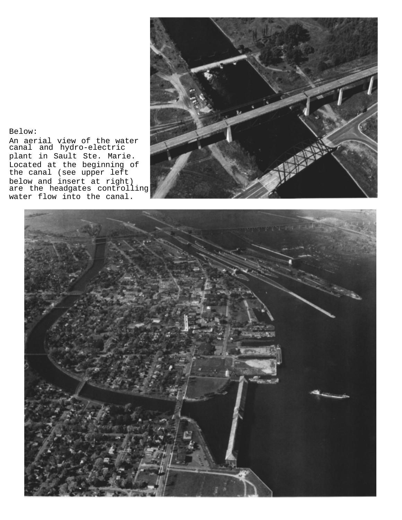

Below:

An aerial view of the water canal and hydro-electric plant in Sault Ste. Marie. Located at the beginning of the canal (see upper left below and insert at right) are the headgates controlling water flow into the canal.